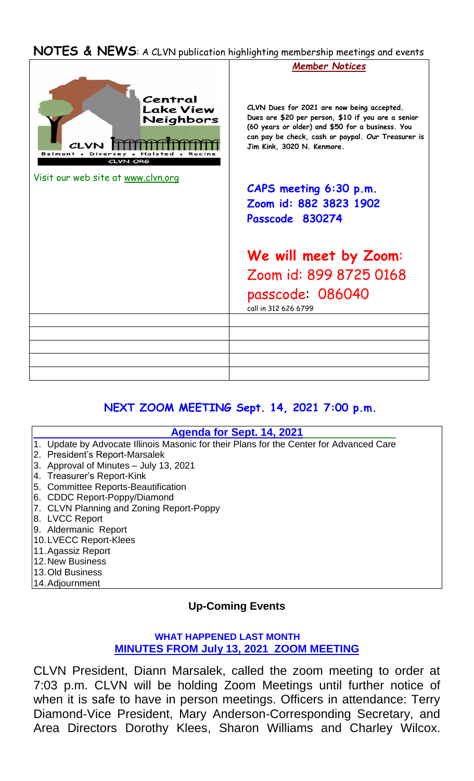#### **NOTES & NEWS**: A CLVN publication highlighting membership meetings and events



## **NEXT ZOOM MEETING Sept. 14, 2021 7:00 p.m.**

#### **Agenda for Sept. 14, 2021**

- 1. Update by Advocate Illinois Masonic for their Plans for the Center for Advanced Care
- 2. President's Report-Marsalek
- 3. Approval of Minutes July 13, 2021
- 4. Treasurer's Report-Kink
- 5. Committee Reports-Beautification
- 6. CDDC Report-Poppy/Diamond
- 7. CLVN Planning and Zoning Report-Poppy
- 8. LVCC Report
- 9. Aldermanic Report
- 10.LVECC Report-Klees
- 11.Agassiz Report
- 12.New Business
- 13.Old Business
- 14.Adjournment

## **Up-Coming Events**

#### **WHAT HAPPENED LAST MONTH MINUTES FROM July 13, 2021 ZOOM MEETING**

CLVN President, Diann Marsalek, called the zoom meeting to order at 7:03 p.m. CLVN will be holding Zoom Meetings until further notice of when it is safe to have in person meetings. Officers in attendance: Terry Diamond-Vice President, Mary Anderson-Corresponding Secretary, and Area Directors Dorothy Klees, Sharon Williams and Charley Wilcox.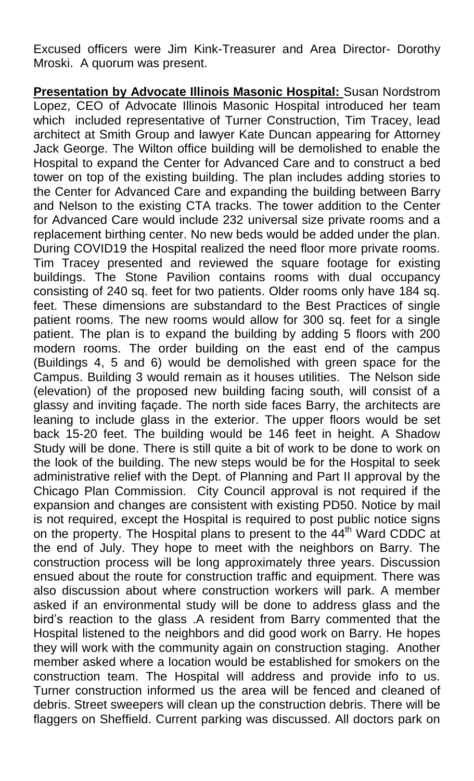Excused officers were Jim Kink-Treasurer and Area Director- Dorothy Mroski. A quorum was present.

**Presentation by Advocate Illinois Masonic Hospital:** Susan Nordstrom Lopez, CEO of Advocate Illinois Masonic Hospital introduced her team which included representative of Turner Construction, Tim Tracey, lead architect at Smith Group and lawyer Kate Duncan appearing for Attorney Jack George. The Wilton office building will be demolished to enable the Hospital to expand the Center for Advanced Care and to construct a bed tower on top of the existing building. The plan includes adding stories to the Center for Advanced Care and expanding the building between Barry and Nelson to the existing CTA tracks. The tower addition to the Center for Advanced Care would include 232 universal size private rooms and a replacement birthing center. No new beds would be added under the plan. During COVID19 the Hospital realized the need floor more private rooms. Tim Tracey presented and reviewed the square footage for existing buildings. The Stone Pavilion contains rooms with dual occupancy consisting of 240 sq. feet for two patients. Older rooms only have 184 sq. feet. These dimensions are substandard to the Best Practices of single patient rooms. The new rooms would allow for 300 sq. feet for a single patient. The plan is to expand the building by adding 5 floors with 200 modern rooms. The order building on the east end of the campus (Buildings 4, 5 and 6) would be demolished with green space for the Campus. Building 3 would remain as it houses utilities. The Nelson side (elevation) of the proposed new building facing south, will consist of a glassy and inviting façade. The north side faces Barry, the architects are leaning to include glass in the exterior. The upper floors would be set back 15-20 feet. The building would be 146 feet in height. A Shadow Study will be done. There is still quite a bit of work to be done to work on the look of the building. The new steps would be for the Hospital to seek administrative relief with the Dept. of Planning and Part II approval by the Chicago Plan Commission. City Council approval is not required if the expansion and changes are consistent with existing PD50. Notice by mail is not required, except the Hospital is required to post public notice signs on the property. The Hospital plans to present to the 44<sup>th</sup> Ward CDDC at the end of July. They hope to meet with the neighbors on Barry. The construction process will be long approximately three years. Discussion ensued about the route for construction traffic and equipment. There was also discussion about where construction workers will park. A member asked if an environmental study will be done to address glass and the bird's reaction to the glass .A resident from Barry commented that the Hospital listened to the neighbors and did good work on Barry. He hopes they will work with the community again on construction staging. Another member asked where a location would be established for smokers on the construction team. The Hospital will address and provide info to us. Turner construction informed us the area will be fenced and cleaned of debris. Street sweepers will clean up the construction debris. There will be flaggers on Sheffield. Current parking was discussed. All doctors park on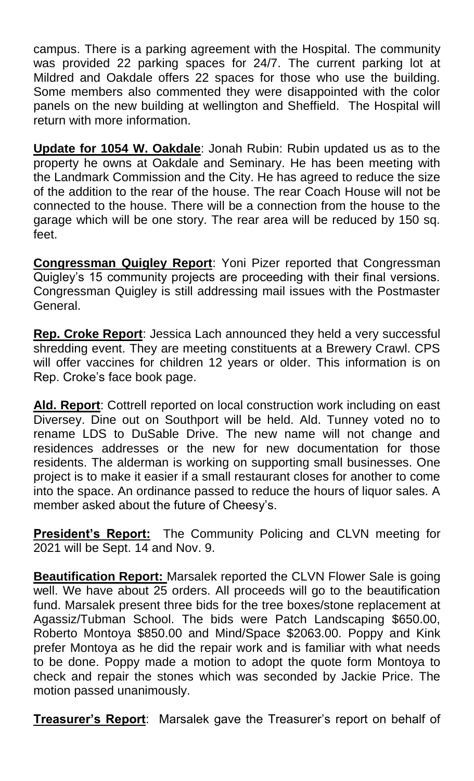campus. There is a parking agreement with the Hospital. The community was provided 22 parking spaces for 24/7. The current parking lot at Mildred and Oakdale offers 22 spaces for those who use the building. Some members also commented they were disappointed with the color panels on the new building at wellington and Sheffield. The Hospital will return with more information.

**Update for 1054 W. Oakdale**: Jonah Rubin: Rubin updated us as to the property he owns at Oakdale and Seminary. He has been meeting with the Landmark Commission and the City. He has agreed to reduce the size of the addition to the rear of the house. The rear Coach House will not be connected to the house. There will be a connection from the house to the garage which will be one story. The rear area will be reduced by 150 sq. feet.

**Congressman Quigley Report**: Yoni Pizer reported that Congressman Quigley's 15 community projects are proceeding with their final versions. Congressman Quigley is still addressing mail issues with the Postmaster General.

**Rep. Croke Report**: Jessica Lach announced they held a very successful shredding event. They are meeting constituents at a Brewery Crawl. CPS will offer vaccines for children 12 years or older. This information is on Rep. Croke's face book page.

**Ald. Report**: Cottrell reported on local construction work including on east Diversey. Dine out on Southport will be held. Ald. Tunney voted no to rename LDS to DuSable Drive. The new name will not change and residences addresses or the new for new documentation for those residents. The alderman is working on supporting small businesses. One project is to make it easier if a small restaurant closes for another to come into the space. An ordinance passed to reduce the hours of liquor sales. A member asked about the future of Cheesy's.

**President's Report:** The Community Policing and CLVN meeting for 2021 will be Sept. 14 and Nov. 9.

**Beautification Report:** Marsalek reported the CLVN Flower Sale is going well. We have about 25 orders. All proceeds will go to the beautification fund. Marsalek present three bids for the tree boxes/stone replacement at Agassiz/Tubman School. The bids were Patch Landscaping \$650.00, Roberto Montoya \$850.00 and Mind/Space \$2063.00. Poppy and Kink prefer Montoya as he did the repair work and is familiar with what needs to be done. Poppy made a motion to adopt the quote form Montoya to check and repair the stones which was seconded by Jackie Price. The motion passed unanimously.

**Treasurer's Report**: Marsalek gave the Treasurer's report on behalf of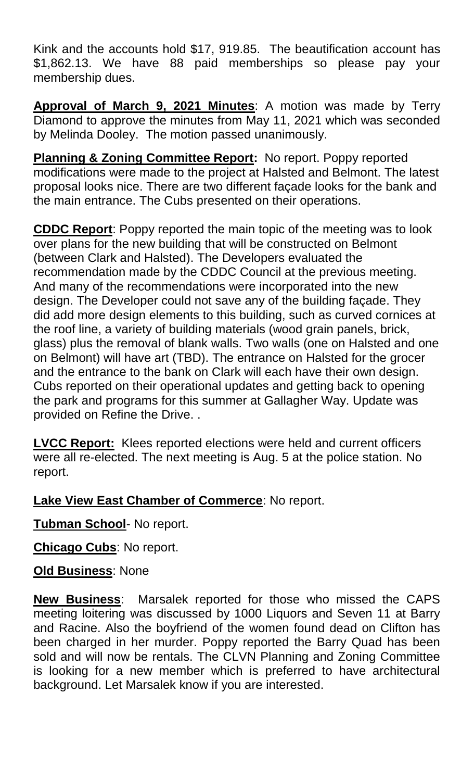Kink and the accounts hold \$17, 919.85. The beautification account has \$1,862.13. We have 88 paid memberships so please pay your membership dues.

**Approval of March 9, 2021 Minutes**: A motion was made by Terry Diamond to approve the minutes from May 11, 2021 which was seconded by Melinda Dooley. The motion passed unanimously.

**Planning & Zoning Committee Report:** No report. Poppy reported modifications were made to the project at Halsted and Belmont. The latest proposal looks nice. There are two different façade looks for the bank and the main entrance. The Cubs presented on their operations.

**CDDC Report**: Poppy reported the main topic of the meeting was to look over plans for the new building that will be constructed on Belmont (between Clark and Halsted). The Developers evaluated the recommendation made by the CDDC Council at the previous meeting. And many of the recommendations were incorporated into the new design. The Developer could not save any of the building façade. They did add more design elements to this building, such as curved cornices at the roof line, a variety of building materials (wood grain panels, brick, glass) plus the removal of blank walls. Two walls (one on Halsted and one on Belmont) will have art (TBD). The entrance on Halsted for the grocer and the entrance to the bank on Clark will each have their own design. Cubs reported on their operational updates and getting back to opening the park and programs for this summer at Gallagher Way. Update was provided on Refine the Drive. .

**LVCC Report:** Klees reported elections were held and current officers were all re-elected. The next meeting is Aug. 5 at the police station. No report.

**Lake View East Chamber of Commerce**: No report.

**Tubman School**- No report.

**Chicago Cubs**: No report.

# **Old Business**: None

**New Business**: Marsalek reported for those who missed the CAPS meeting loitering was discussed by 1000 Liquors and Seven 11 at Barry and Racine. Also the boyfriend of the women found dead on Clifton has been charged in her murder. Poppy reported the Barry Quad has been sold and will now be rentals. The CLVN Planning and Zoning Committee is looking for a new member which is preferred to have architectural background. Let Marsalek know if you are interested.